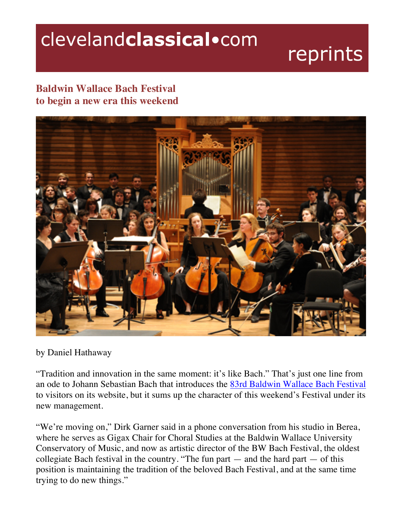## clevelandclassical.com

## reprints

## **Baldwin Wallace Bach Festival to begin a new era this weekend**



## by Daniel Hathaway

"Tradition and innovation in the same moment: it's like Bach." That's just one line from an ode to Johann Sebastian Bach that introduces the 83rd Baldwin Wallace Bach Festival to visitors on its website, but it sums up the character of this weekend's Festival under its new management.

"We're moving on," Dirk Garner said in a phone conversation from his studio in Berea, where he serves as Gigax Chair for Choral Studies at the Baldwin Wallace University Conservatory of Music, and now as artistic director of the BW Bach Festival, the oldest collegiate Bach festival in the country. "The fun part  $-$  and the hard part  $-$  of this position is maintaining the tradition of the beloved Bach Festival, and at the same time trying to do new things."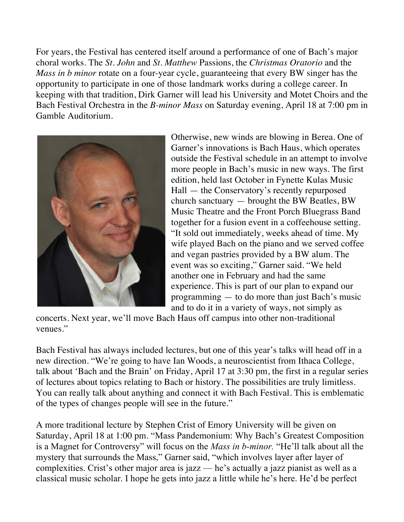For years, the Festival has centered itself around a performance of one of Bach's major choral works. The *St. John* and *St. Matthew* Passions, the *Christmas Oratorio* and the *Mass in b minor* rotate on a four-year cycle, guaranteeing that every BW singer has the opportunity to participate in one of those landmark works during a college career. In keeping with that tradition, Dirk Garner will lead his University and Motet Choirs and the Bach Festival Orchestra in the *B-minor Mass* on Saturday evening, April 18 at 7:00 pm in Gamble Auditorium.



Otherwise, new winds are blowing in Berea. One of Garner's innovations is Bach Haus, which operates outside the Festival schedule in an attempt to involve more people in Bach's music in new ways. The first edition, held last October in Fynette Kulas Music Hall — the Conservatory's recently repurposed church sanctuary — brought the BW Beatles, BW Music Theatre and the Front Porch Bluegrass Band together for a fusion event in a coffeehouse setting. "It sold out immediately, weeks ahead of time. My wife played Bach on the piano and we served coffee and vegan pastries provided by a BW alum. The event was so exciting," Garner said. "We held another one in February and had the same experience. This is part of our plan to expand our programming — to do more than just Bach's music and to do it in a variety of ways, not simply as

concerts. Next year, we'll move Bach Haus off campus into other non-traditional venues."

Bach Festival has always included lectures, but one of this year's talks will head off in a new direction. "We're going to have Ian Woods, a neuroscientist from Ithaca College, talk about 'Bach and the Brain' on Friday, April 17 at 3:30 pm, the first in a regular series of lectures about topics relating to Bach or history. The possibilities are truly limitless. You can really talk about anything and connect it with Bach Festival. This is emblematic of the types of changes people will see in the future."

A more traditional lecture by Stephen Crist of Emory University will be given on Saturday, April 18 at 1:00 pm. "Mass Pandemonium: Why Bach's Greatest Composition is a Magnet for Controversy" will focus on the *Mass in b-minor.* "He'll talk about all the mystery that surrounds the Mass," Garner said, "which involves layer after layer of complexities. Crist's other major area is jazz — he's actually a jazz pianist as well as a classical music scholar. I hope he gets into jazz a little while he's here. He'd be perfect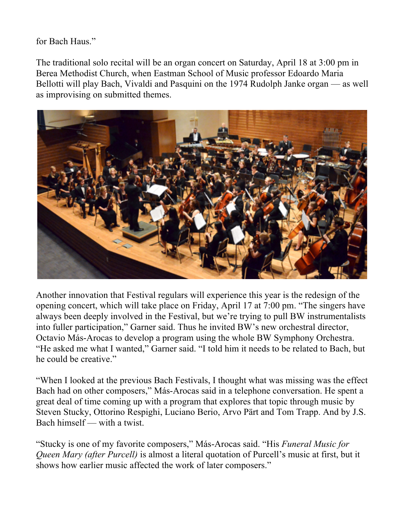for Bach Haus."

The traditional solo recital will be an organ concert on Saturday, April 18 at 3:00 pm in Berea Methodist Church, when Eastman School of Music professor Edoardo Maria Bellotti will play Bach, Vivaldi and Pasquini on the 1974 Rudolph Janke organ — as well as improvising on submitted themes.



Another innovation that Festival regulars will experience this year is the redesign of the opening concert, which will take place on Friday, April 17 at 7:00 pm. "The singers have always been deeply involved in the Festival, but we're trying to pull BW instrumentalists into fuller participation," Garner said. Thus he invited BW's new orchestral director, Octavio Más-Arocas to develop a program using the whole BW Symphony Orchestra. "He asked me what I wanted," Garner said. "I told him it needs to be related to Bach, but he could be creative."

"When I looked at the previous Bach Festivals, I thought what was missing was the effect Bach had on other composers," Más-Arocas said in a telephone conversation. He spent a great deal of time coming up with a program that explores that topic through music by Steven Stucky, Ottorino Respighi, Luciano Berio, Arvo Pärt and Tom Trapp. And by J.S. Bach himself — with a twist.

"Stucky is one of my favorite composers," Más-Arocas said. "His *Funeral Music for Queen Mary (after Purcell)* is almost a literal quotation of Purcell's music at first, but it shows how earlier music affected the work of later composers."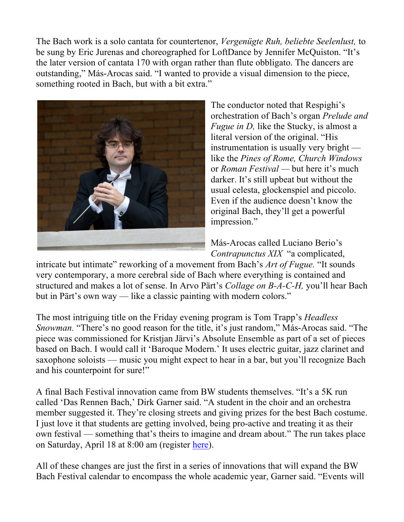The Bach work is a solo cantata for countertenor, *Vergenügte Ruh, beliebte Seelenlust,* to be sung by Eric Jurenas and choreographed for LoftDance by Jennifer McQuiston. "It's the later version of cantata 170 with organ rather than flute obbligato. The dancers are outstanding," Más-Arocas said. "I wanted to provide a visual dimension to the piece, something rooted in Bach, but with a bit extra."



The conductor noted that Respighi's orchestration of Bach's organ *Prelude and Fugue in D, like the Stucky, is almost a* literal version of the original. "His instrumentation is usually very bright like the *Pines of Rome, Church Windows*  or *Roman Festival —* but here it's much darker. It's still upbeat but without the usual celesta, glockenspiel and piccolo. Even if the audience doesn't know the original Bach, they'll get a powerful impression."

Más-Arocas called Luciano Berio's *Contrapunctus XIX* "a complicated,

intricate but intimate" reworking of a movement from Bach's *Art of Fugue.* "It sounds very contemporary, a more cerebral side of Bach where everything is contained and structured and makes a lot of sense. In Arvo Pärt's *Collage on B-A-C-H,* you'll hear Bach but in Pärt's own way — like a classic painting with modern colors."

The most intriguing title on the Friday evening program is Tom Trapp's *Headless Snowman.* "There's no good reason for the title, it's just random," Más-Arocas said. "The piece was commissioned for Kristjan Järvi's Absolute Ensemble as part of a set of pieces based on Bach. I would call it 'Baroque Modern.' It uses electric guitar, jazz clarinet and saxophone soloists — music you might expect to hear in a bar, but you'll recognize Bach and his counterpoint for sure!"

A final Bach Festival innovation came from BW students themselves. "It's a 5K run called 'Das Rennen Bach,' Dirk Garner said. "A student in the choir and an orchestra member suggested it. They're closing streets and giving prizes for the best Bach costume. I just love it that students are getting involved, being pro-active and treating it as their own festival — something that's theirs to imagine and dream about." The run takes place on Saturday, April 18 at 8:00 am (register here).

All of these changes are just the first in a series of innovations that will expand the BW Bach Festival calendar to encompass the whole academic year, Garner said. "Events will